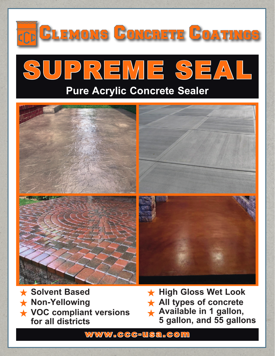

- **Solvent Based Non-Yellowing**
- **VOC compliant versions for all districts**

**High Gloss Wet Look All types of concrete Available in 1 gallon, 5 gallon, and 55 gallons**

www.ccc-usa.com